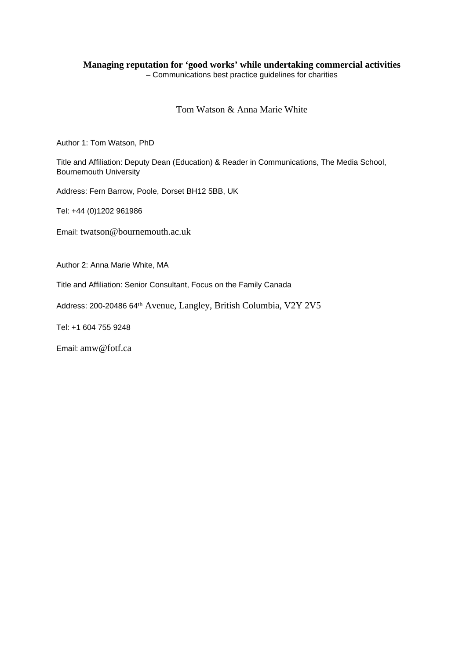# **Managing reputation for 'good works' while undertaking commercial activities**

– Communications best practice guidelines for charities

## Tom Watson & Anna Marie White

Author 1: Tom Watson, PhD

Title and Affiliation: Deputy Dean (Education) & Reader in Communications, The Media School, Bournemouth University

Address: Fern Barrow, Poole, Dorset BH12 5BB, UK

Tel: +44 (0)1202 961986

Email: twatson@bournemouth.ac.uk

Author 2: Anna Marie White, MA

Title and Affiliation: Senior Consultant, Focus on the Family Canada

Address: 200-20486 64th Avenue, Langley, British Columbia, V2Y 2V5

Tel: +1 604 755 9248

Email: amw@fotf.ca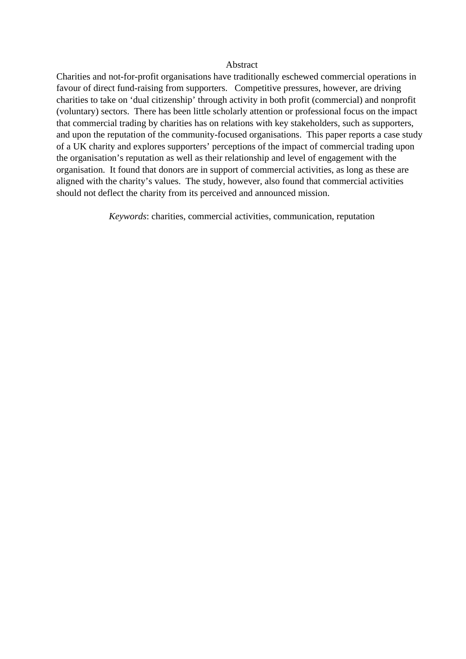### Abstract

Charities and not-for-profit organisations have traditionally eschewed commercial operations in favour of direct fund-raising from supporters. Competitive pressures, however, are driving charities to take on 'dual citizenship' through activity in both profit (commercial) and nonprofit (voluntary) sectors. There has been little scholarly attention or professional focus on the impact that commercial trading by charities has on relations with key stakeholders, such as supporters, and upon the reputation of the community-focused organisations. This paper reports a case study of a UK charity and explores supporters' perceptions of the impact of commercial trading upon the organisation's reputation as well as their relationship and level of engagement with the organisation. It found that donors are in support of commercial activities, as long as these are aligned with the charity's values. The study, however, also found that commercial activities should not deflect the charity from its perceived and announced mission.

*Keywords*: charities, commercial activities, communication, reputation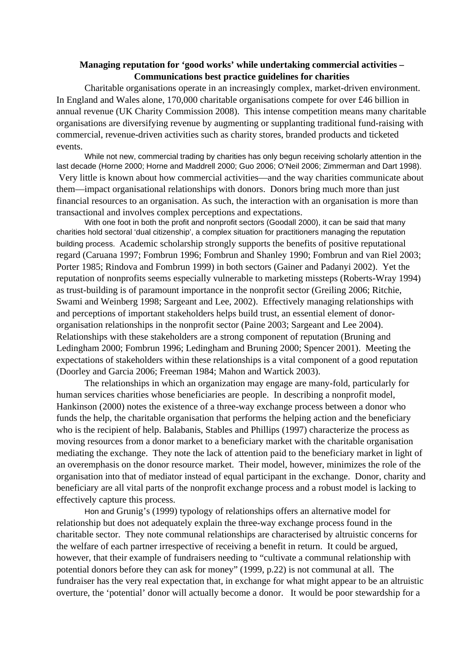## **Managing reputation for 'good works' while undertaking commercial activities – Communications best practice guidelines for charities**

Charitable organisations operate in an increasingly complex, market-driven environment. In England and Wales alone, 170,000 charitable organisations compete for over £46 billion in annual revenue (UK Charity Commission 2008). This intense competition means many charitable organisations are diversifying revenue by augmenting or supplanting traditional fund-raising with commercial, revenue-driven activities such as charity stores, branded products and ticketed events.

While not new, commercial trading by charities has only begun receiving scholarly attention in the last decade (Horne 2000; Horne and Maddrell 2000; Guo 2006; O'Neil 2006; Zimmerman and Dart 1998). Very little is known about how commercial activities—and the way charities communicate about them—impact organisational relationships with donors. Donors bring much more than just financial resources to an organisation. As such, the interaction with an organisation is more than transactional and involves complex perceptions and expectations.

With one foot in both the profit and nonprofit sectors (Goodall 2000), it can be said that many charities hold sectoral 'dual citizenship', a complex situation for practitioners managing the reputation building process. Academic scholarship strongly supports the benefits of positive reputational regard (Caruana 1997; Fombrun 1996; Fombrun and Shanley 1990; Fombrun and van Riel 2003; Porter 1985; Rindova and Fombrun 1999) in both sectors (Gainer and Padanyi 2002). Yet the reputation of nonprofits seems especially vulnerable to marketing missteps (Roberts-Wray 1994) as trust-building is of paramount importance in the nonprofit sector (Greiling 2006; Ritchie, Swami and Weinberg 1998; Sargeant and Lee, 2002). Effectively managing relationships with and perceptions of important stakeholders helps build trust, an essential element of donororganisation relationships in the nonprofit sector (Paine 2003; Sargeant and Lee 2004). Relationships with these stakeholders are a strong component of reputation (Bruning and Ledingham 2000; Fombrun 1996; Ledingham and Bruning 2000; Spencer 2001). Meeting the expectations of stakeholders within these relationships is a vital component of a good reputation (Doorley and Garcia 2006; Freeman 1984; Mahon and Wartick 2003).

The relationships in which an organization may engage are many-fold, particularly for human services charities whose beneficiaries are people. In describing a nonprofit model, Hankinson (2000) notes the existence of a three-way exchange process between a donor who funds the help, the charitable organisation that performs the helping action and the beneficiary who is the recipient of help. Balabanis, Stables and Phillips (1997) characterize the process as moving resources from a donor market to a beneficiary market with the charitable organisation mediating the exchange. They note the lack of attention paid to the beneficiary market in light of an overemphasis on the donor resource market. Their model, however, minimizes the role of the organisation into that of mediator instead of equal participant in the exchange. Donor, charity and beneficiary are all vital parts of the nonprofit exchange process and a robust model is lacking to effectively capture this process.

Hon and Grunig's (1999) typology of relationships offers an alternative model for relationship but does not adequately explain the three-way exchange process found in the charitable sector. They note communal relationships are characterised by altruistic concerns for the welfare of each partner irrespective of receiving a benefit in return. It could be argued, however, that their example of fundraisers needing to "cultivate a communal relationship with potential donors before they can ask for money" (1999, p.22) is not communal at all. The fundraiser has the very real expectation that, in exchange for what might appear to be an altruistic overture, the 'potential' donor will actually become a donor. It would be poor stewardship for a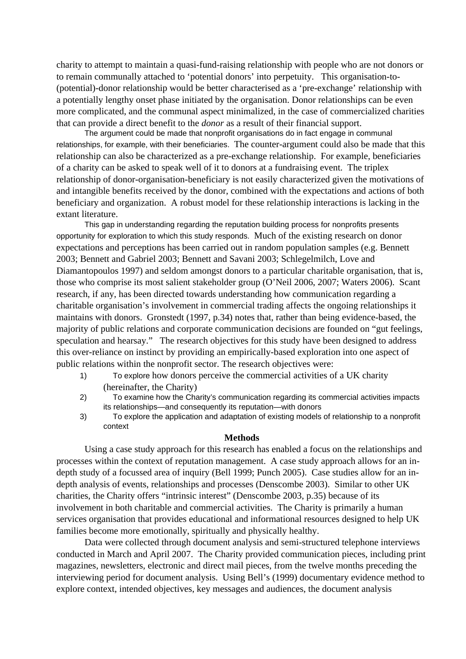charity to attempt to maintain a quasi-fund-raising relationship with people who are not donors or to remain communally attached to 'potential donors' into perpetuity. This organisation-to- (potential)-donor relationship would be better characterised as a 'pre-exchange' relationship with a potentially lengthy onset phase initiated by the organisation. Donor relationships can be even more complicated, and the communal aspect minimalized, in the case of commercialized charities that can provide a direct benefit to the *donor* as a result of their financial support.

The argument could be made that nonprofit organisations do in fact engage in communal relationships, for example, with their beneficiaries. The counter-argument could also be made that this relationship can also be characterized as a pre-exchange relationship. For example, beneficiaries of a charity can be asked to speak well of it to donors at a fundraising event. The triplex relationship of donor-organisation-beneficiary is not easily characterized given the motivations of and intangible benefits received by the donor, combined with the expectations and actions of both beneficiary and organization. A robust model for these relationship interactions is lacking in the extant literature.

This gap in understanding regarding the reputation building process for nonprofits presents opportunity for exploration to which this study responds. Much of the existing research on donor expectations and perceptions has been carried out in random population samples (e.g. Bennett 2003; Bennett and Gabriel 2003; Bennett and Savani 2003; Schlegelmilch, Love and Diamantopoulos 1997) and seldom amongst donors to a particular charitable organisation, that is, those who comprise its most salient stakeholder group (O'Neil 2006, 2007; Waters 2006). Scant research, if any, has been directed towards understanding how communication regarding a charitable organisation's involvement in commercial trading affects the ongoing relationships it maintains with donors. Gronstedt (1997, p.34) notes that, rather than being evidence-based, the majority of public relations and corporate communication decisions are founded on "gut feelings, speculation and hearsay." The research objectives for this study have been designed to address this over-reliance on instinct by providing an empirically-based exploration into one aspect of public relations within the nonprofit sector. The research objectives were:

- 1) To explore how donors perceive the commercial activities of a UK charity (hereinafter, the Charity)
- 2) To examine how the Charity's communication regarding its commercial activities impacts its relationships—and consequently its reputation—with donors
- 3) To explore the application and adaptation of existing models of relationship to a nonprofit context

#### **Methods**

Using a case study approach for this research has enabled a focus on the relationships and processes within the context of reputation management. A case study approach allows for an indepth study of a focussed area of inquiry (Bell 1999; Punch 2005). Case studies allow for an indepth analysis of events, relationships and processes (Denscombe 2003). Similar to other UK charities, the Charity offers "intrinsic interest" (Denscombe 2003, p.35) because of its involvement in both charitable and commercial activities. The Charity is primarily a human services organisation that provides educational and informational resources designed to help UK families become more emotionally, spiritually and physically healthy.

Data were collected through document analysis and semi-structured telephone interviews conducted in March and April 2007. The Charity provided communication pieces, including print magazines, newsletters, electronic and direct mail pieces, from the twelve months preceding the interviewing period for document analysis. Using Bell's (1999) documentary evidence method to explore context, intended objectives, key messages and audiences, the document analysis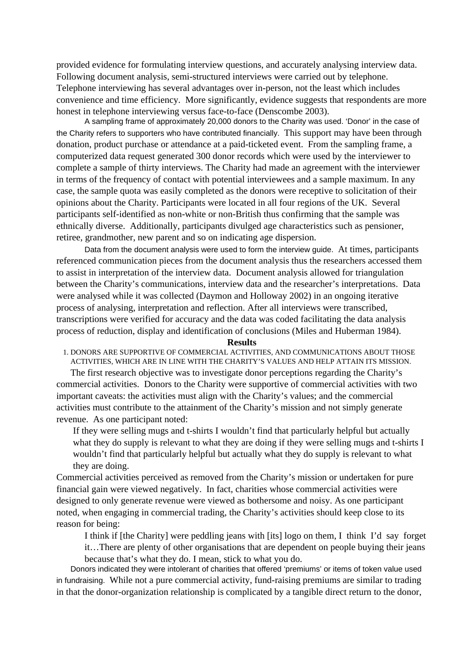provided evidence for formulating interview questions, and accurately analysing interview data. Following document analysis, semi-structured interviews were carried out by telephone. Telephone interviewing has several advantages over in-person, not the least which includes convenience and time efficiency. More significantly, evidence suggests that respondents are more honest in telephone interviewing versus face-to-face (Denscombe 2003).

A sampling frame of approximately 20,000 donors to the Charity was used. 'Donor' in the case of the Charity refers to supporters who have contributed financially. This support may have been through donation, product purchase or attendance at a paid-ticketed event. From the sampling frame, a computerized data request generated 300 donor records which were used by the interviewer to complete a sample of thirty interviews. The Charity had made an agreement with the interviewer in terms of the frequency of contact with potential interviewees and a sample maximum. In any case, the sample quota was easily completed as the donors were receptive to solicitation of their opinions about the Charity. Participants were located in all four regions of the UK. Several participants self-identified as non-white or non-British thus confirming that the sample was ethnically diverse. Additionally, participants divulged age characteristics such as pensioner, retiree, grandmother, new parent and so on indicating age dispersion.

Data from the document analysis were used to form the interview guide. At times, participants referenced communication pieces from the document analysis thus the researchers accessed them to assist in interpretation of the interview data. Document analysis allowed for triangulation between the Charity's communications, interview data and the researcher's interpretations. Data were analysed while it was collected (Daymon and Holloway 2002) in an ongoing iterative process of analysing, interpretation and reflection. After all interviews were transcribed, transcriptions were verified for accuracy and the data was coded facilitating the data analysis process of reduction, display and identification of conclusions (Miles and Huberman 1984).

#### **Results**

1. DONORS ARE SUPPORTIVE OF COMMERCIAL ACTIVITIES, AND COMMUNICATIONS ABOUT THOSE ACTIVITIES, WHICH ARE IN LINE WITH THE CHARITY'S VALUES AND HELP ATTAIN ITS MISSION.

The first research objective was to investigate donor perceptions regarding the Charity's commercial activities. Donors to the Charity were supportive of commercial activities with two important caveats: the activities must align with the Charity's values; and the commercial activities must contribute to the attainment of the Charity's mission and not simply generate revenue. As one participant noted:

If they were selling mugs and t-shirts I wouldn't find that particularly helpful but actually what they do supply is relevant to what they are doing if they were selling mugs and t-shirts I wouldn't find that particularly helpful but actually what they do supply is relevant to what they are doing.

Commercial activities perceived as removed from the Charity's mission or undertaken for pure financial gain were viewed negatively. In fact, charities whose commercial activities were designed to only generate revenue were viewed as bothersome and noisy. As one participant noted, when engaging in commercial trading, the Charity's activities should keep close to its reason for being:

I think if [the Charity] were peddling jeans with [its] logo on them, I think I'd say forget it…There are plenty of other organisations that are dependent on people buying their jeans because that's what they do. I mean, stick to what you do.

Donors indicated they were intolerant of charities that offered 'premiums' or items of token value used in fundraising. While not a pure commercial activity, fund-raising premiums are similar to trading in that the donor-organization relationship is complicated by a tangible direct return to the donor,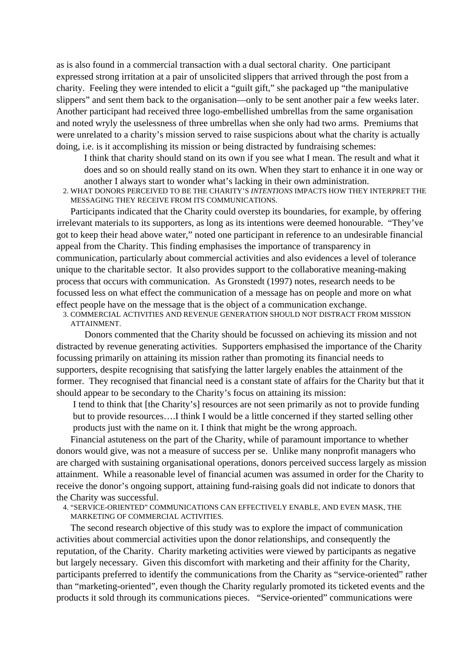as is also found in a commercial transaction with a dual sectoral charity. One participant expressed strong irritation at a pair of unsolicited slippers that arrived through the post from a charity. Feeling they were intended to elicit a "guilt gift," she packaged up "the manipulative slippers" and sent them back to the organisation—only to be sent another pair a few weeks later. Another participant had received three logo-embellished umbrellas from the same organisation and noted wryly the uselessness of three umbrellas when she only had two arms. Premiums that were unrelated to a charity's mission served to raise suspicions about what the charity is actually doing, i.e. is it accomplishing its mission or being distracted by fundraising schemes:

I think that charity should stand on its own if you see what I mean. The result and what it does and so on should really stand on its own. When they start to enhance it in one way or another I always start to wonder what's lacking in their own administration.

2. WHAT DONORS PERCEIVED TO BE THE CHARITY'S *INTENTIONS* IMPACTS HOW THEY INTERPRET THE MESSAGING THEY RECEIVE FROM ITS COMMUNICATIONS.

Participants indicated that the Charity could overstep its boundaries, for example, by offering irrelevant materials to its supporters, as long as its intentions were deemed honourable. "They've got to keep their head above water," noted one participant in reference to an undesirable financial appeal from the Charity. This finding emphasises the importance of transparency in communication, particularly about commercial activities and also evidences a level of tolerance unique to the charitable sector. It also provides support to the collaborative meaning-making process that occurs with communication. As Gronstedt (1997) notes, research needs to be focussed less on what effect the communication of a message has on people and more on what effect people have on the message that is the object of a communication exchange.

3. COMMERCIAL ACTIVITIES AND REVENUE GENERATION SHOULD NOT DISTRACT FROM MISSION ATTAINMENT.

Donors commented that the Charity should be focussed on achieving its mission and not distracted by revenue generating activities. Supporters emphasised the importance of the Charity focussing primarily on attaining its mission rather than promoting its financial needs to supporters, despite recognising that satisfying the latter largely enables the attainment of the former. They recognised that financial need is a constant state of affairs for the Charity but that it should appear to be secondary to the Charity's focus on attaining its mission:

I tend to think that [the Charity's] resources are not seen primarily as not to provide funding but to provide resources….I think I would be a little concerned if they started selling other products just with the name on it. I think that might be the wrong approach.

Financial astuteness on the part of the Charity, while of paramount importance to whether donors would give, was not a measure of success per se. Unlike many nonprofit managers who are charged with sustaining organisational operations, donors perceived success largely as mission attainment. While a reasonable level of financial acumen was assumed in order for the Charity to receive the donor's ongoing support, attaining fund-raising goals did not indicate to donors that the Charity was successful.

4. "SERVICE-ORIENTED" COMMUNICATIONS CAN EFFECTIVELY ENABLE, AND EVEN MASK, THE MARKETING OF COMMERCIAL ACTIVITIES.

The second research objective of this study was to explore the impact of communication activities about commercial activities upon the donor relationships, and consequently the reputation, of the Charity. Charity marketing activities were viewed by participants as negative but largely necessary. Given this discomfort with marketing and their affinity for the Charity, participants preferred to identify the communications from the Charity as "service-oriented" rather than "marketing-oriented", even though the Charity regularly promoted its ticketed events and the products it sold through its communications pieces. "Service-oriented" communications were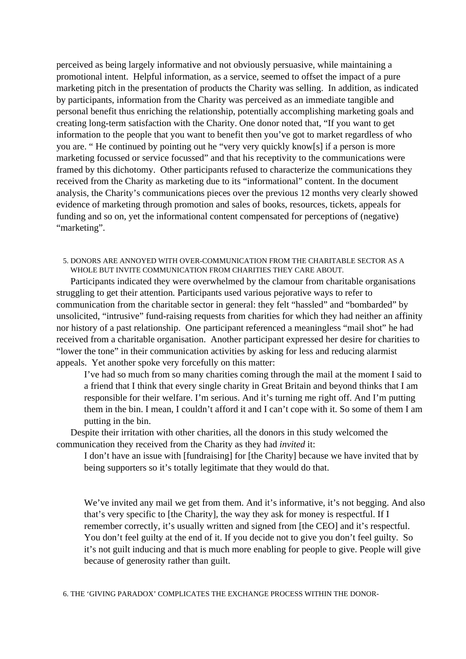perceived as being largely informative and not obviously persuasive, while maintaining a promotional intent. Helpful information, as a service, seemed to offset the impact of a pure marketing pitch in the presentation of products the Charity was selling. In addition, as indicated by participants, information from the Charity was perceived as an immediate tangible and personal benefit thus enriching the relationship, potentially accomplishing marketing goals and creating long-term satisfaction with the Charity. One donor noted that, "If you want to get information to the people that you want to benefit then you've got to market regardless of who you are. " He continued by pointing out he "very very quickly know[s] if a person is more marketing focussed or service focussed" and that his receptivity to the communications were framed by this dichotomy. Other participants refused to characterize the communications they received from the Charity as marketing due to its "informational" content. In the document analysis, the Charity's communications pieces over the previous 12 months very clearly showed evidence of marketing through promotion and sales of books, resources, tickets, appeals for funding and so on, yet the informational content compensated for perceptions of (negative) "marketing".

## 5. DONORS ARE ANNOYED WITH OVER-COMMUNICATION FROM THE CHARITABLE SECTOR AS A WHOLE BUT INVITE COMMUNICATION FROM CHARITIES THEY CARE ABOUT.

Participants indicated they were overwhelmed by the clamour from charitable organisations struggling to get their attention*.* Participants used various pejorative ways to refer to communication from the charitable sector in general: they felt "hassled" and "bombarded" by unsolicited, "intrusive" fund-raising requests from charities for which they had neither an affinity nor history of a past relationship. One participant referenced a meaningless "mail shot" he had received from a charitable organisation. Another participant expressed her desire for charities to "lower the tone" in their communication activities by asking for less and reducing alarmist appeals. Yet another spoke very forcefully on this matter:

I've had so much from so many charities coming through the mail at the moment I said to a friend that I think that every single charity in Great Britain and beyond thinks that I am responsible for their welfare. I'm serious. And it's turning me right off. And I'm putting them in the bin. I mean, I couldn't afford it and I can't cope with it. So some of them I am putting in the bin.

Despite their irritation with other charities, all the donors in this study welcomed the communication they received from the Charity as they had *invited* it:

I don't have an issue with [fundraising] for [the Charity] because we have invited that by being supporters so it's totally legitimate that they would do that.

We've invited any mail we get from them. And it's informative, it's not begging. And also that's very specific to [the Charity], the way they ask for money is respectful. If I remember correctly, it's usually written and signed from [the CEO] and it's respectful. You don't feel guilty at the end of it. If you decide not to give you don't feel guilty. So it's not guilt inducing and that is much more enabling for people to give. People will give because of generosity rather than guilt.

6. THE 'GIVING PARADOX' COMPLICATES THE EXCHANGE PROCESS WITHIN THE DONOR-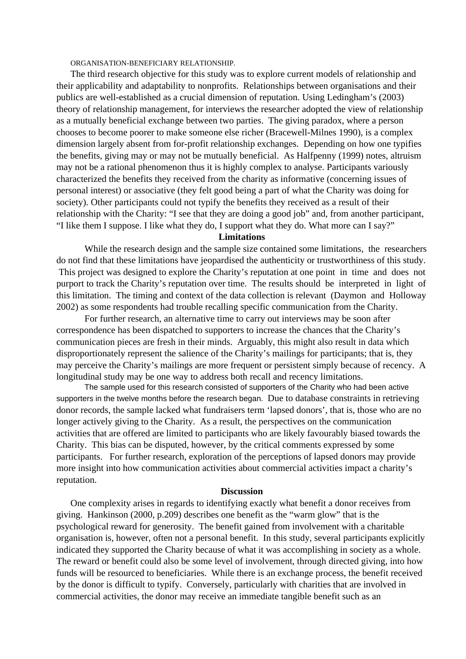ORGANISATION-BENEFICIARY RELATIONSHIP.

The third research objective for this study was to explore current models of relationship and their applicability and adaptability to nonprofits. Relationships between organisations and their publics are well-established as a crucial dimension of reputation. Using Ledingham's (2003) theory of relationship management, for interviews the researcher adopted the view of relationship as a mutually beneficial exchange between two parties. The giving paradox, where a person chooses to become poorer to make someone else richer (Bracewell-Milnes 1990), is a complex dimension largely absent from for-profit relationship exchanges. Depending on how one typifies the benefits, giving may or may not be mutually beneficial. As Halfpenny (1999) notes, altruism may not be a rational phenomenon thus it is highly complex to analyse. Participants variously characterized the benefits they received from the charity as informative (concerning issues of personal interest) or associative (they felt good being a part of what the Charity was doing for society). Other participants could not typify the benefits they received as a result of their relationship with the Charity: "I see that they are doing a good job" and, from another participant, "I like them I suppose. I like what they do, I support what they do. What more can I say?"

#### **Limitations**

While the research design and the sample size contained some limitations, the researchers do not find that these limitations have jeopardised the authenticity or trustworthiness of this study. This project was designed to explore the Charity's reputation at one point in time and does not purport to track the Charity's reputation over time. The results should be interpreted in light of this limitation. The timing and context of the data collection is relevant (Daymon and Holloway 2002) as some respondents had trouble recalling specific communication from the Charity.

For further research, an alternative time to carry out interviews may be soon after correspondence has been dispatched to supporters to increase the chances that the Charity's communication pieces are fresh in their minds. Arguably, this might also result in data which disproportionately represent the salience of the Charity's mailings for participants; that is, they may perceive the Charity's mailings are more frequent or persistent simply because of recency. A longitudinal study may be one way to address both recall and recency limitations.

The sample used for this research consisted of supporters of the Charity who had been active supporters in the twelve months before the research began. Due to database constraints in retrieving donor records, the sample lacked what fundraisers term 'lapsed donors', that is, those who are no longer actively giving to the Charity. As a result, the perspectives on the communication activities that are offered are limited to participants who are likely favourably biased towards the Charity. This bias can be disputed, however, by the critical comments expressed by some participants. For further research, exploration of the perceptions of lapsed donors may provide more insight into how communication activities about commercial activities impact a charity's reputation.

#### **Discussion**

One complexity arises in regards to identifying exactly what benefit a donor receives from giving. Hankinson (2000, p.209) describes one benefit as the "warm glow" that is the psychological reward for generosity. The benefit gained from involvement with a charitable organisation is, however, often not a personal benefit. In this study, several participants explicitly indicated they supported the Charity because of what it was accomplishing in society as a whole. The reward or benefit could also be some level of involvement, through directed giving, into how funds will be resourced to beneficiaries. While there is an exchange process, the benefit received by the donor is difficult to typify. Conversely, particularly with charities that are involved in commercial activities, the donor may receive an immediate tangible benefit such as an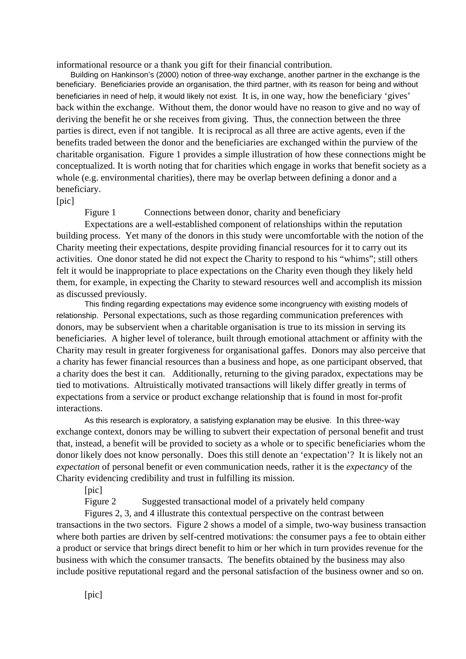informational resource or a thank you gift for their financial contribution.

Building on Hankinson's (2000) notion of three-way exchange, another partner in the exchange is the beneficiary. Beneficiaries provide an organisation, the third partner, with its reason for being and without beneficiaries in need of help, it would likely not exist. It is, in one way, how the beneficiary 'gives' back within the exchange. Without them, the donor would have no reason to give and no way of deriving the benefit he or she receives from giving. Thus, the connection between the three parties is direct, even if not tangible. It is reciprocal as all three are active agents, even if the benefits traded between the donor and the beneficiaries are exchanged within the purview of the charitable organisation. Figure 1 provides a simple illustration of how these connections might be conceptualized. It is worth noting that for charities which engage in works that benefit society as a whole (e.g. environmental charities), there may be overlap between defining a donor and a beneficiary.

#### $[pic]$

Figure 1 Connections between donor, charity and beneficiary

Expectations are a well-established component of relationships within the reputation building process. Yet many of the donors in this study were uncomfortable with the notion of the Charity meeting their expectations, despite providing financial resources for it to carry out its activities. One donor stated he did not expect the Charity to respond to his "whims"; still others felt it would be inappropriate to place expectations on the Charity even though they likely held them, for example, in expecting the Charity to steward resources well and accomplish its mission as discussed previously.

This finding regarding expectations may evidence some incongruency with existing models of relationship. Personal expectations, such as those regarding communication preferences with donors, may be subservient when a charitable organisation is true to its mission in serving its beneficiaries. A higher level of tolerance, built through emotional attachment or affinity with the Charity may result in greater forgiveness for organisational gaffes. Donors may also perceive that a charity has fewer financial resources than a business and hope, as one participant observed, that a charity does the best it can. Additionally, returning to the giving paradox, expectations may be tied to motivations. Altruistically motivated transactions will likely differ greatly in terms of expectations from a service or product exchange relationship that is found in most for-profit interactions.

As this research is exploratory, a satisfying explanation may be elusive. In this three-way exchange context, donors may be willing to subvert their expectation of personal benefit and trust that, instead, a benefit will be provided to society as a whole or to specific beneficiaries whom the donor likely does not know personally. Does this still denote an 'expectation'? It is likely not an *expectation* of personal benefit or even communication needs, rather it is the *expectancy* of the Charity evidencing credibility and trust in fulfilling its mission.

[pic]

Figure 2 Suggested transactional model of a privately held company

Figures 2, 3, and 4 illustrate this contextual perspective on the contrast between transactions in the two sectors. Figure 2 shows a model of a simple, two-way business transaction where both parties are driven by self-centred motivations: the consumer pays a fee to obtain either a product or service that brings direct benefit to him or her which in turn provides revenue for the business with which the consumer transacts. The benefits obtained by the business may also include positive reputational regard and the personal satisfaction of the business owner and so on.

[pic]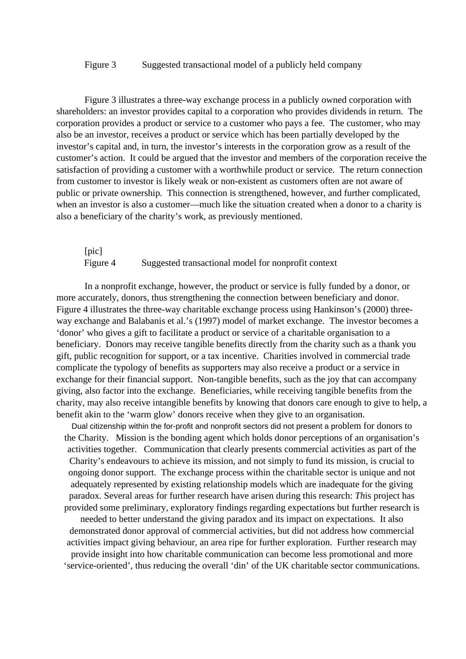## Figure 3 Suggested transactional model of a publicly held company

Figure 3 illustrates a three-way exchange process in a publicly owned corporation with shareholders: an investor provides capital to a corporation who provides dividends in return. The corporation provides a product or service to a customer who pays a fee. The customer, who may also be an investor, receives a product or service which has been partially developed by the investor's capital and, in turn, the investor's interests in the corporation grow as a result of the customer's action. It could be argued that the investor and members of the corporation receive the satisfaction of providing a customer with a worthwhile product or service. The return connection from customer to investor is likely weak or non-existent as customers often are not aware of public or private ownership. This connection is strengthened, however, and further complicated, when an investor is also a customer—much like the situation created when a donor to a charity is also a beneficiary of the charity's work, as previously mentioned.

## [pic] Figure 4 Suggested transactional model for nonprofit context

In a nonprofit exchange, however, the product or service is fully funded by a donor, or more accurately, donors, thus strengthening the connection between beneficiary and donor. Figure 4 illustrates the three-way charitable exchange process using Hankinson's (2000) threeway exchange and Balabanis et al.'s (1997) model of market exchange. The investor becomes a 'donor' who gives a gift to facilitate a product or service of a charitable organisation to a beneficiary. Donors may receive tangible benefits directly from the charity such as a thank you gift, public recognition for support, or a tax incentive. Charities involved in commercial trade complicate the typology of benefits as supporters may also receive a product or a service in exchange for their financial support. Non-tangible benefits, such as the joy that can accompany giving, also factor into the exchange. Beneficiaries, while receiving tangible benefits from the charity, may also receive intangible benefits by knowing that donors care enough to give to help, a benefit akin to the 'warm glow' donors receive when they give to an organisation.

Dual citizenship within the for-profit and nonprofit sectors did not present a problem for donors to the Charity. Mission is the bonding agent which holds donor perceptions of an organisation's activities together. Communication that clearly presents commercial activities as part of the Charity's endeavours to achieve its mission, and not simply to fund its mission, is crucial to ongoing donor support. The exchange process within the charitable sector is unique and not adequately represented by existing relationship models which are inadequate for the giving paradox. Several areas for further research have arisen during this research: *Th*is project has provided some preliminary, exploratory findings regarding expectations but further research is

needed to better understand the giving paradox and its impact on expectations. It also demonstrated donor approval of commercial activities, but did not address how commercial activities impact giving behaviour, an area ripe for further exploration. Further research may provide insight into how charitable communication can become less promotional and more 'service-oriented', thus reducing the overall 'din' of the UK charitable sector communications.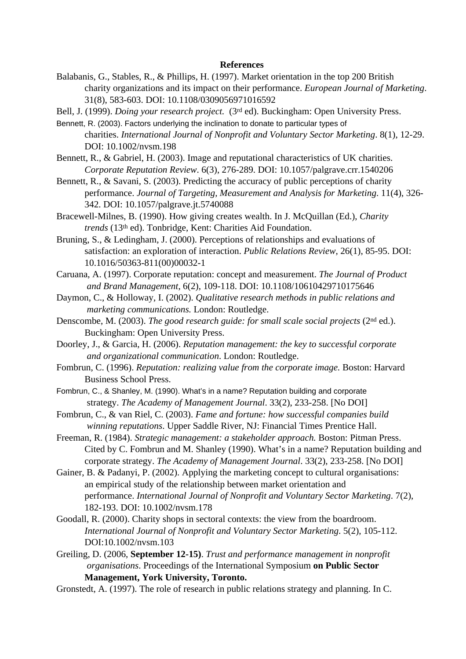#### **References**

- Balabanis, G., Stables, R., & Phillips, H. (1997). Market orientation in the top 200 British charity organizations and its impact on their performance. *European Journal of Marketing*. 31(8), 583-603. DOI: 10.1108/0309056971016592
- Bell, J. (1999). *Doing your research project.* (3<sup>rd</sup> ed). Buckingham: Open University Press.
- Bennett, R. (2003). Factors underlying the inclination to donate to particular types of charities. *International Journal of Nonprofit and Voluntary Sector Marketing*. 8(1), 12-29. DOI: 10.1002/nvsm.198
- Bennett, R., & Gabriel, H. (2003). Image and reputational characteristics of UK charities. *Corporate Reputation Review*. 6(3), 276-289. DOI: 10.1057/palgrave.crr.1540206
- Bennett, R., & Savani, S. (2003). Predicting the accuracy of public perceptions of charity performance. *Journal of Targeting, Measurement and Analysis for Marketing*. 11(4), 326- 342. DOI: 10.1057/palgrave.jt.5740088
- Bracewell-Milnes, B. (1990). How giving creates wealth. In J. McQuillan (Ed.), *Charity trends* (13<sup>th</sup> ed). Tonbridge, Kent: Charities Aid Foundation.
- Bruning, S., & Ledingham, J. (2000). Perceptions of relationships and evaluations of satisfaction: an exploration of interaction. *Public Relations Review*, 26(1), 85-95. DOI: 10.1016/50363-811(00)00032-1
- Caruana, A. (1997). Corporate reputation: concept and measurement. *The Journal of Product and Brand Management*, 6(2), 109-118. DOI: 10.1108/10610429710175646
- Daymon, C., & Holloway, I. (2002). *Qualitative research methods in public relations and marketing communications.* London: Routledge.
- Denscombe, M. (2003). *The good research guide: for small scale social projects* (2nd ed.). Buckingham: Open University Press.
- Doorley, J., & Garcia, H. (2006). *Reputation management: the key to successful corporate and organizational communication*. London: Routledge.
- Fombrun, C. (1996). *Reputation: realizing value from the corporate image.* Boston: Harvard Business School Press.
- Fombrun, C., & Shanley, M. (1990). What's in a name? Reputation building and corporate strategy. *The Academy of Management Journal*. 33(2), 233-258. [No DOI]
- Fombrun, C., & van Riel, C. (2003). *Fame and fortune: how successful companies build winning reputations*. Upper Saddle River, NJ: Financial Times Prentice Hall.
- Freeman, R. (1984). *Strategic management: a stakeholder approach.* Boston: Pitman Press. Cited by C. Fombrun and M. Shanley (1990). What's in a name? Reputation building and corporate strategy. *The Academy of Management Journal*. 33(2), 233-258. [No DOI]
- Gainer, B. & Padanyi, P. (2002). Applying the marketing concept to cultural organisations: an empirical study of the relationship between market orientation and performance. *International Journal of Nonprofit and Voluntary Sector Marketing*. 7(2), 182-193. DOI: 10.1002/nvsm.178
- Goodall, R. (2000). Charity shops in sectoral contexts: the view from the boardroom. *International Journal of Nonprofit and Voluntary Sector Marketing*. 5(2), 105-112. DOI:10.1002/nvsm.103
- Greiling, D. (2006, **September 12-15)**. *Trust and performance management in nonprofit organisations*. Proceedings of the International Symposium **on Public Sector Management, York University, Toronto.**
- Gronstedt, A. (1997). The role of research in public relations strategy and planning. In C.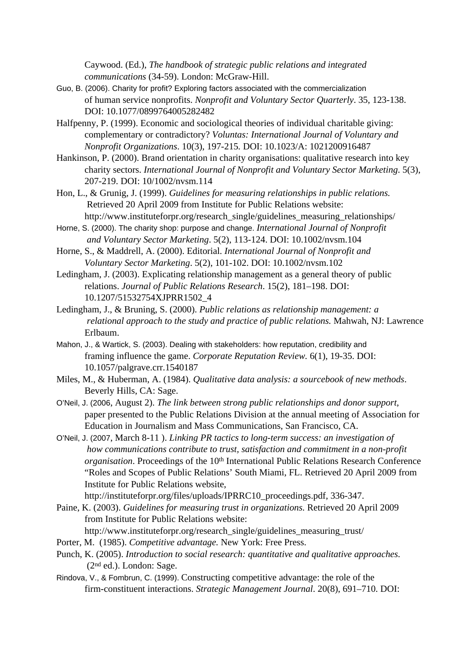Caywood. (Ed.), *The handbook of strategic public relations and integrated communications* (34-59). London: McGraw-Hill.

- Guo, B. (2006). Charity for profit? Exploring factors associated with the commercialization of human service nonprofits. *Nonprofit and Voluntary Sector Quarterly*. 35, 123-138. DOI: 10.1077/0899764005282482
- Halfpenny, P. (1999). Economic and sociological theories of individual charitable giving: complementary or contradictory? *Voluntas: International Journal of Voluntary and Nonprofit Organizations*. 10(3), 197-215*.* DOI: 10.1023/A: 1021200916487
- Hankinson, P. (2000). Brand orientation in charity organisations: qualitative research into key charity sectors. *International Journal of Nonprofit and Voluntary Sector Marketing*. 5(3), 207-219. DOI: 10/1002/nvsm.114
- Hon, L., & Grunig, J. (1999). *Guidelines for measuring relationships in public relations.* Retrieved 20 April 2009 from Institute for Public Relations website: http://www.instituteforpr.org/research\_single/guidelines\_measuring\_relationships/
- Horne, S. (2000). The charity shop: purpose and change. *International Journal of Nonprofit and Voluntary Sector Marketing*. 5(2), 113-124. DOI: 10.1002/nvsm.104
- Horne, S., & Maddrell, A. (2000). Editorial. *International Journal of Nonprofit and Voluntary Sector Marketing*. 5(2), 101-102. DOI: 10.1002/nvsm.102
- Ledingham, J. (2003). Explicating relationship management as a general theory of public relations. *Journal of Public Relations Research*. 15(2), 181–198. DOI: 10.1207/51532754XJPRR1502\_4
- Ledingham, J., & Bruning, S. (2000). *Public relations as relationship management: a relational approach to the study and practice of public relations.* Mahwah, NJ: Lawrence Erlbaum.
- Mahon, J., & Wartick, S. (2003). Dealing with stakeholders: how reputation, credibility and framing influence the game. *Corporate Reputation Review.* 6(1), 19-35. DOI: 10.1057/palgrave.crr.1540187
- Miles, M., & Huberman, A. (1984). *Qualitative data analysis: a sourcebook of new methods*. Beverly Hills, CA: Sage.
- O'Neil, J. (2006, August 2). *The link between strong public relationships and donor support*, paper presented to the Public Relations Division at the annual meeting of Association for Education in Journalism and Mass Communications, San Francisco, CA.
- O'Neil, J. (2007, March 8-11 ). *Linking PR tactics to long-term success: an investigation of how communications contribute to trust, satisfaction and commitment in a non-profit organisation*. Proceedings of the 10<sup>th</sup> International Public Relations Research Conference "Roles and Scopes of Public Relations' South Miami, FL. Retrieved 20 April 2009 from Institute for Public Relations website,

http://instituteforpr.org/files/uploads/IPRRC10\_proceedings.pdf, 336-347.

Paine, K. (2003). *Guidelines for measuring trust in organizations.* Retrieved 20 April 2009 from Institute for Public Relations website: http://www.instituteforpr.org/research\_single/guidelines\_measuring\_trust/

- Porter, M. (1985). *Competitive advantage.* New York: Free Press.
- Punch, K. (2005). *Introduction to social research: quantitative and qualitative approaches.* (2nd ed.). London: Sage.
- Rindova, V., & Fombrun, C. (1999). Constructing competitive advantage: the role of the firm-constituent interactions. *Strategic Management Journal*. 20(8), 691–710. DOI: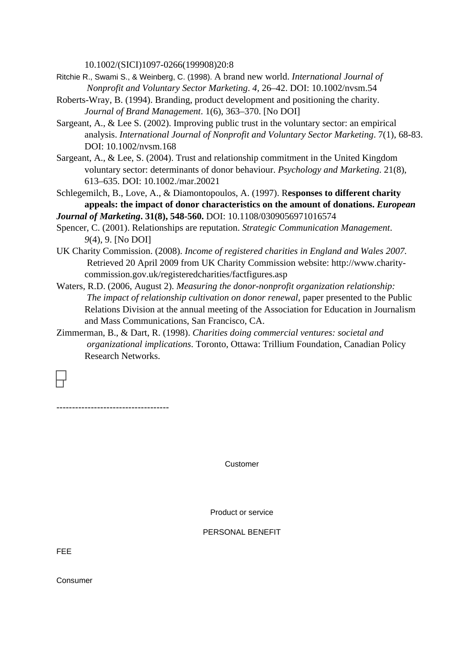10.1002/(SICI)1097-0266(199908)20:8

- Ritchie R., Swami S., & Weinberg, C. (1998). A brand new world. *International Journal of Nonprofit and Voluntary Sector Marketing*. *4,* 26–42. DOI: 10.1002/nvsm.54
- Roberts-Wray, B. (1994). Branding, product development and positioning the charity. *Journal of Brand Management*. 1(6), 363–370. [No DOI]
- Sargeant, A., & Lee S. (2002). Improving public trust in the voluntary sector: an empirical analysis. *International Journal of Nonprofit and Voluntary Sector Marketing*. 7(1), 68-83. DOI: 10.1002/nvsm.168
- Sargeant, A., & Lee, S. (2004). Trust and relationship commitment in the United Kingdom voluntary sector: determinants of donor behaviour. *Psychology and Marketing*. 21(8), 613–635. DOI: 10.1002./mar.20021
- Schlegemilch, B., Love, A., & Diamontopoulos, A. (1997). R**esponses to different charity appeals: the impact of donor characteristics on the amount of donations.** *European*
- *Journal of Marketing***. 31(8), 548-560.** DOI: 10.1108/0309056971016574
- Spencer, C. (2001). Relationships are reputation. *Strategic Communication Management*. *9*(4), 9. [No DOI]
- UK Charity Commission. (2008). *Income of registered charities in England and Wales 2007.* Retrieved 20 April 2009 from UK Charity Commission website: http://www.charitycommission.gov.uk/registeredcharities/factfigures.asp
- Waters, R.D. (2006, August 2). *Measuring the donor-nonprofit organization relationship: The impact of relationship cultivation on donor renewal*, paper presented to the Public Relations Division at the annual meeting of the Association for Education in Journalism and Mass Communications, San Francisco, CA.
- Zimmerman, B., & Dart, R. (1998). *Charities doing commercial ventures: societal and organizational implications*. Toronto, Ottawa: Trillium Foundation, Canadian Policy Research Networks.

------------------------------------

Customer

Product or service

PERSONAL BENEFIT

FEE

Consumer